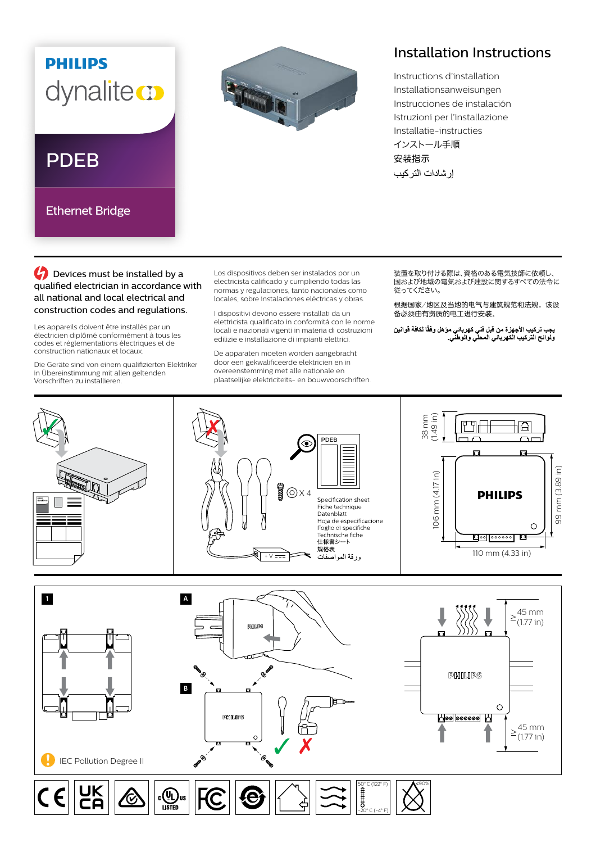## **PHILIPS** dynaliteco

## PDEB

Ethernet Bridge



## Installation Instructions

Instructions d'installation Installationsanweisungen Instrucciones de instalación Istruzioni per l'installazione Installatie-instructies インストール手順 安装指示 إر شادات التر كيب

**C** Devices must be installed by a qualified electrician in accordance with all national and local electrical and construction codes and regulations.

Les appareils doivent être installés par un électricien diplômé conformément à tous les codes et réglementations électriques et de construction nationaux et locaux.

Die Geräte sind von einem qualifizierten Elektriker in Übereinstimmung mit allen geltenden Vorschriften zu installieren.

Los dispositivos deben ser instalados por un electricista calificado y cumpliendo todas las normas y regulaciones, tanto nacionales como locales, sobre instalaciones eléctricas y obras.

I dispositivi devono essere installati da un elettricista qualificato in conformità con le norme locali e nazionali vigenti in materia di costruzioni edilizie e installazione di impianti elettrici.

De apparaten moeten worden aangebracht door een gekwalificeerde elektricien en in overeenstemming met alle nationale en plaatselijke elektriciteits- en bouwvoorschriften. 装置を取り付ける際は、資格のある電気技師に依頼し、 ーーーーーーの あいい ストック・コントントーム しくく こうしゃ 従ってください。

根据国家/地区及当地的电气与建筑规范和法规,该设 备必须由有资质的电工进行安装。

يجب تركيب الأجهزة من قبل فني كهرباني موّ هل وفقًا لكافة قوانين<br>ولوائح التركيب الكهرباني المحلي والوطني<sub>.</sub>